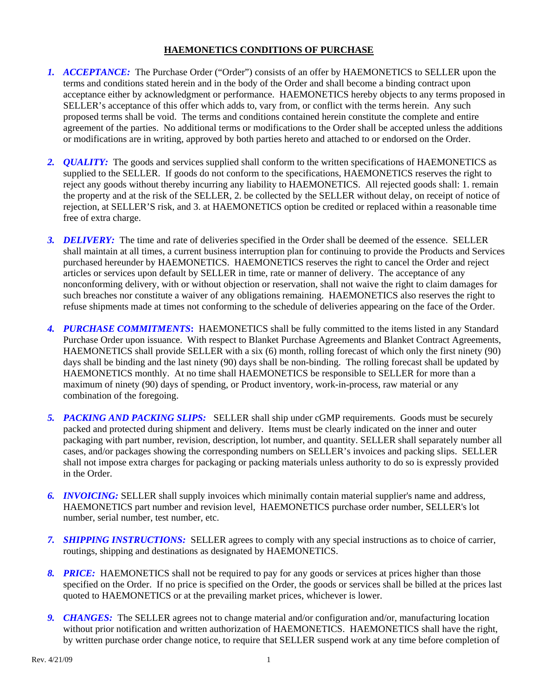## **HAEMONETICS CONDITIONS OF PURCHASE**

- *1. ACCEPTANCE:* The Purchase Order ("Order") consists of an offer by HAEMONETICS to SELLER upon the terms and conditions stated herein and in the body of the Order and shall become a binding contract upon acceptance either by acknowledgment or performance. HAEMONETICS hereby objects to any terms proposed in SELLER's acceptance of this offer which adds to, vary from, or conflict with the terms herein. Any such proposed terms shall be void. The terms and conditions contained herein constitute the complete and entire agreement of the parties. No additional terms or modifications to the Order shall be accepted unless the additions or modifications are in writing, approved by both parties hereto and attached to or endorsed on the Order.
- *2. QUALITY:* The goods and services supplied shall conform to the written specifications of HAEMONETICS as supplied to the SELLER. If goods do not conform to the specifications, HAEMONETICS reserves the right to reject any goods without thereby incurring any liability to HAEMONETICS. All rejected goods shall: 1. remain the property and at the risk of the SELLER, 2. be collected by the SELLER without delay, on receipt of notice of rejection, at SELLER'S risk, and 3. at HAEMONETICS option be credited or replaced within a reasonable time free of extra charge.
- *3. DELIVERY:* The time and rate of deliveries specified in the Order shall be deemed of the essence. SELLER shall maintain at all times, a current business interruption plan for continuing to provide the Products and Services purchased hereunder by HAEMONETICS. HAEMONETICS reserves the right to cancel the Order and reject articles or services upon default by SELLER in time, rate or manner of delivery. The acceptance of any nonconforming delivery, with or without objection or reservation, shall not waive the right to claim damages for such breaches nor constitute a waiver of any obligations remaining. HAEMONETICS also reserves the right to refuse shipments made at times not conforming to the schedule of deliveries appearing on the face of the Order.
- *4. PURCHASE COMMITMENTS***:** HAEMONETICS shall be fully committed to the items listed in any Standard Purchase Order upon issuance. With respect to Blanket Purchase Agreements and Blanket Contract Agreements, HAEMONETICS shall provide SELLER with a six (6) month, rolling forecast of which only the first ninety (90) days shall be binding and the last ninety (90) days shall be non-binding. The rolling forecast shall be updated by HAEMONETICS monthly. At no time shall HAEMONETICS be responsible to SELLER for more than a maximum of ninety (90) days of spending, or Product inventory, work-in-process, raw material or any combination of the foregoing.
- *5. PACKING AND PACKING SLIPS:* SELLER shall ship under cGMP requirements. Goods must be securely packed and protected during shipment and delivery. Items must be clearly indicated on the inner and outer packaging with part number, revision, description, lot number, and quantity. SELLER shall separately number all cases, and/or packages showing the corresponding numbers on SELLER's invoices and packing slips. SELLER shall not impose extra charges for packaging or packing materials unless authority to do so is expressly provided in the Order.
- *6. INVOICING:* SELLER shall supply invoices which minimally contain material supplier's name and address, HAEMONETICS part number and revision level, HAEMONETICS purchase order number, SELLER's lot number, serial number, test number, etc.
- *7. SHIPPING INSTRUCTIONS:* SELLER agrees to comply with any special instructions as to choice of carrier, routings, shipping and destinations as designated by HAEMONETICS.
- *8. PRICE:* HAEMONETICS shall not be required to pay for any goods or services at prices higher than those specified on the Order. If no price is specified on the Order, the goods or services shall be billed at the prices last quoted to HAEMONETICS or at the prevailing market prices, whichever is lower.
- *9. CHANGES:* The SELLER agrees not to change material and/or configuration and/or, manufacturing location without prior notification and written authorization of HAEMONETICS. HAEMONETICS shall have the right, by written purchase order change notice, to require that SELLER suspend work at any time before completion of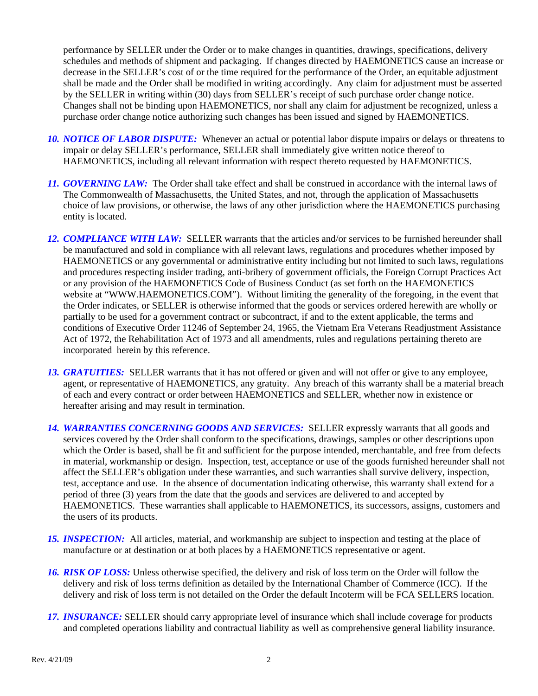performance by SELLER under the Order or to make changes in quantities, drawings, specifications, delivery schedules and methods of shipment and packaging. If changes directed by HAEMONETICS cause an increase or decrease in the SELLER's cost of or the time required for the performance of the Order, an equitable adjustment shall be made and the Order shall be modified in writing accordingly. Any claim for adjustment must be asserted by the SELLER in writing within (30) days from SELLER's receipt of such purchase order change notice. Changes shall not be binding upon HAEMONETICS, nor shall any claim for adjustment be recognized, unless a purchase order change notice authorizing such changes has been issued and signed by HAEMONETICS.

- *10. NOTICE OF LABOR DISPUTE:* Whenever an actual or potential labor dispute impairs or delays or threatens to impair or delay SELLER's performance, SELLER shall immediately give written notice thereof to HAEMONETICS, including all relevant information with respect thereto requested by HAEMONETICS.
- *11. GOVERNING LAW:* The Order shall take effect and shall be construed in accordance with the internal laws of The Commonwealth of Massachusetts, the United States, and not, through the application of Massachusetts choice of law provisions, or otherwise, the laws of any other jurisdiction where the HAEMONETICS purchasing entity is located.
- *12. COMPLIANCE WITH LAW:* SELLER warrants that the articles and/or services to be furnished hereunder shall be manufactured and sold in compliance with all relevant laws, regulations and procedures whether imposed by HAEMONETICS or any governmental or administrative entity including but not limited to such laws, regulations and procedures respecting insider trading, anti-bribery of government officials, the Foreign Corrupt Practices Act or any provision of the HAEMONETICS Code of Business Conduct (as set forth on the HAEMONETICS website at "WWW.HAEMONETICS.COM"). Without limiting the generality of the foregoing, in the event that the Order indicates, or SELLER is otherwise informed that the goods or services ordered herewith are wholly or partially to be used for a government contract or subcontract, if and to the extent applicable, the terms and conditions of Executive Order 11246 of September 24, 1965, the Vietnam Era Veterans Readjustment Assistance Act of 1972, the Rehabilitation Act of 1973 and all amendments, rules and regulations pertaining thereto are incorporated herein by this reference.
- *13. GRATUITIES:* SELLER warrants that it has not offered or given and will not offer or give to any employee, agent, or representative of HAEMONETICS, any gratuity. Any breach of this warranty shall be a material breach of each and every contract or order between HAEMONETICS and SELLER, whether now in existence or hereafter arising and may result in termination.
- *14. WARRANTIES CONCERNING GOODS AND SERVICES:* SELLER expressly warrants that all goods and services covered by the Order shall conform to the specifications, drawings, samples or other descriptions upon which the Order is based, shall be fit and sufficient for the purpose intended, merchantable, and free from defects in material, workmanship or design. Inspection, test, acceptance or use of the goods furnished hereunder shall not affect the SELLER's obligation under these warranties, and such warranties shall survive delivery, inspection, test, acceptance and use. In the absence of documentation indicating otherwise, this warranty shall extend for a period of three (3) years from the date that the goods and services are delivered to and accepted by HAEMONETICS. These warranties shall applicable to HAEMONETICS, its successors, assigns, customers and the users of its products.
- *15. INSPECTION:* All articles, material, and workmanship are subject to inspection and testing at the place of manufacture or at destination or at both places by a HAEMONETICS representative or agent.
- *16. RISK OF LOSS:* Unless otherwise specified, the delivery and risk of loss term on the Order will follow the delivery and risk of loss terms definition as detailed by the International Chamber of Commerce (ICC). If the delivery and risk of loss term is not detailed on the Order the default Incoterm will be FCA SELLERS location.
- *17. INSURANCE:* SELLER should carry appropriate level of insurance which shall include coverage for products and completed operations liability and contractual liability as well as comprehensive general liability insurance.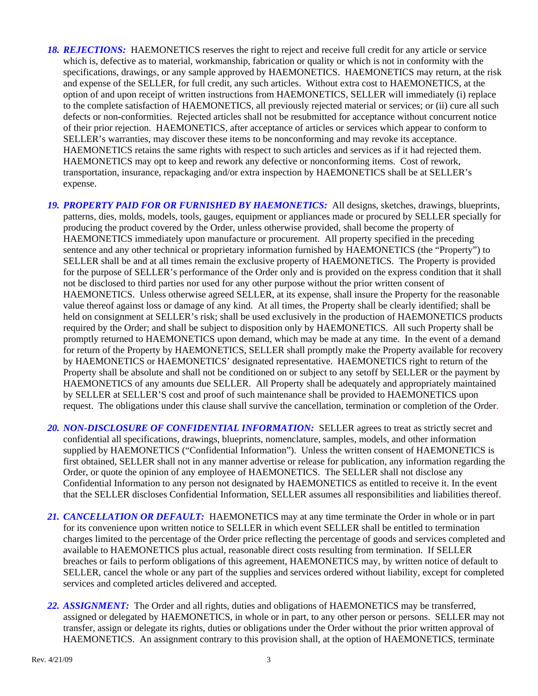- 18. **REJECTIONS:** HAEMONETICS reserves the right to reject and receive full credit for any article or service which is, defective as to material, workmanship, fabrication or quality or which is not in conformity with the specifications, drawings, or any sample approved by HAEMONETICS. HAEMONETICS may return, at the risk and expense of the SELLER, for full credit, any such articles. Without extra cost to HAEMONETICS, at the option of and upon receipt of written instructions from HAEMONETICS, SELLER will immediately (i) replace to the complete satisfaction of HAEMONETICS, all previously rejected material or services; or (ii) cure all such defects or non-conformities. Rejected articles shall not be resubmitted for acceptance without concurrent notice of their prior rejection. HAEMONETICS, after acceptance of articles or services which appear to conform to SELLER's warranties, may discover these items to be nonconforming and may revoke its acceptance. HAEMONETICS retains the same rights with respect to such articles and services as if it had rejected them. HAEMONETICS may opt to keep and rework any defective or nonconforming items. Cost of rework, transportation, insurance, repackaging and/or extra inspection by HAEMONETICS shall be at SELLER's expense.
- *19. PROPERTY PAID FOR OR FURNISHED BY HAEMONETICS:* All designs, sketches, drawings, blueprints, patterns, dies, molds, models, tools, gauges, equipment or appliances made or procured by SELLER specially for producing the product covered by the Order, unless otherwise provided, shall become the property of HAEMONETICS immediately upon manufacture or procurement. All property specified in the preceding sentence and any other technical or proprietary information furnished by HAEMONETICS (the "Property") to SELLER shall be and at all times remain the exclusive property of HAEMONETICS. The Property is provided for the purpose of SELLER's performance of the Order only and is provided on the express condition that it shall not be disclosed to third parties nor used for any other purpose without the prior written consent of HAEMONETICS. Unless otherwise agreed SELLER, at its expense, shall insure the Property for the reasonable value thereof against loss or damage of any kind. At all times, the Property shall be clearly identified; shall be held on consignment at SELLER's risk; shall be used exclusively in the production of HAEMONETICS products required by the Order; and shall be subject to disposition only by HAEMONETICS. All such Property shall be promptly returned to HAEMONETICS upon demand, which may be made at any time. In the event of a demand for return of the Property by HAEMONETICS, SELLER shall promptly make the Property available for recovery by HAEMONETICS or HAEMONETICS' designated representative. HAEMONETICS right to return of the Property shall be absolute and shall not be conditioned on or subject to any setoff by SELLER or the payment by HAEMONETICS of any amounts due SELLER. All Property shall be adequately and appropriately maintained by SELLER at SELLER'S cost and proof of such maintenance shall be provided to HAEMONETICS upon request. The obligations under this clause shall survive the cancellation, termination or completion of the Order.
- *20. NON-DISCLOSURE OF CONFIDENTIAL INFORMATION:* SELLER agrees to treat as strictly secret and confidential all specifications, drawings, blueprints, nomenclature, samples, models, and other information supplied by HAEMONETICS ("Confidential Information"). Unless the written consent of HAEMONETICS is first obtained, SELLER shall not in any manner advertise or release for publication, any information regarding the Order, or quote the opinion of any employee of HAEMONETICS. The SELLER shall not disclose any Confidential Information to any person not designated by HAEMONETICS as entitled to receive it. In the event that the SELLER discloses Confidential Information, SELLER assumes all responsibilities and liabilities thereof.
- *21. CANCELLATION OR DEFAULT:* HAEMONETICS may at any time terminate the Order in whole or in part for its convenience upon written notice to SELLER in which event SELLER shall be entitled to termination charges limited to the percentage of the Order price reflecting the percentage of goods and services completed and available to HAEMONETICS plus actual, reasonable direct costs resulting from termination. If SELLER breaches or fails to perform obligations of this agreement, HAEMONETICS may, by written notice of default to SELLER, cancel the whole or any part of the supplies and services ordered without liability, except for completed services and completed articles delivered and accepted.
- *22. ASSIGNMENT:* The Order and all rights, duties and obligations of HAEMONETICS may be transferred, assigned or delegated by HAEMONETICS, in whole or in part, to any other person or persons. SELLER may not transfer, assign or delegate its rights, duties or obligations under the Order without the prior written approval of HAEMONETICS. An assignment contrary to this provision shall, at the option of HAEMONETICS, terminate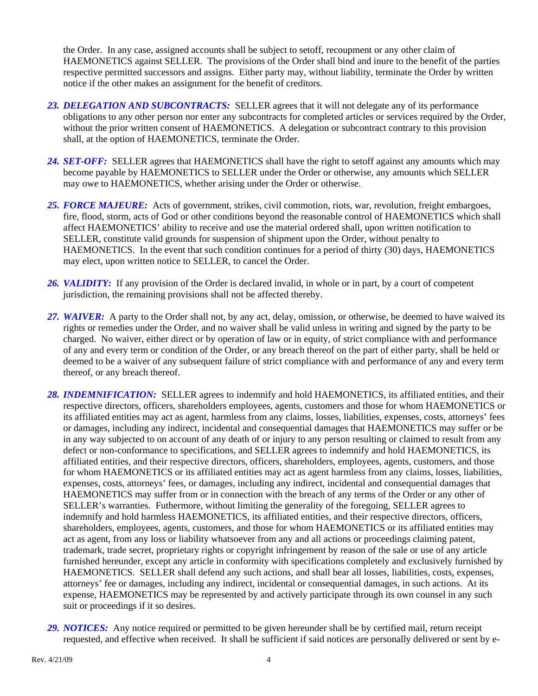the Order. In any case, assigned accounts shall be subject to setoff, recoupment or any other claim of HAEMONETICS against SELLER. The provisions of the Order shall bind and inure to the benefit of the parties respective permitted successors and assigns. Either party may, without liability, terminate the Order by written notice if the other makes an assignment for the benefit of creditors.

- *23. DELEGATION AND SUBCONTRACTS:* SELLER agrees that it will not delegate any of its performance obligations to any other person nor enter any subcontracts for completed articles or services required by the Order, without the prior written consent of HAEMONETICS. A delegation or subcontract contrary to this provision shall, at the option of HAEMONETICS, terminate the Order.
- *24. SET-OFF:* SELLER agrees that HAEMONETICS shall have the right to setoff against any amounts which may become payable by HAEMONETICS to SELLER under the Order or otherwise, any amounts which SELLER may owe to HAEMONETICS, whether arising under the Order or otherwise.
- *25. FORCE MAJEURE:* Acts of government, strikes, civil commotion, riots, war, revolution, freight embargoes, fire, flood, storm, acts of God or other conditions beyond the reasonable control of HAEMONETICS which shall affect HAEMONETICS' ability to receive and use the material ordered shall, upon written notification to SELLER, constitute valid grounds for suspension of shipment upon the Order, without penalty to HAEMONETICS. In the event that such condition continues for a period of thirty (30) days, HAEMONETICS may elect, upon written notice to SELLER, to cancel the Order.
- *26. VALIDITY:* If any provision of the Order is declared invalid, in whole or in part, by a court of competent jurisdiction, the remaining provisions shall not be affected thereby.
- *27. WAIVER:* A party to the Order shall not, by any act, delay, omission, or otherwise, be deemed to have waived its rights or remedies under the Order, and no waiver shall be valid unless in writing and signed by the party to be charged. No waiver, either direct or by operation of law or in equity, of strict compliance with and performance of any and every term or condition of the Order, or any breach thereof on the part of either party, shall be held or deemed to be a waiver of any subsequent failure of strict compliance with and performance of any and every term thereof, or any breach thereof.
- *28. INDEMNIFICATION:* SELLER agrees to indemnify and hold HAEMONETICS, its affiliated entities, and their respective directors, officers, shareholders employees, agents, customers and those for whom HAEMONETICS or its affiliated entities may act as agent, harmless from any claims, losses, liabilities, expenses, costs, attorneys' fees or damages, including any indirect, incidental and consequential damages that HAEMONETICS may suffer or be in any way subjected to on account of any death of or injury to any person resulting or claimed to result from any defect or non-conformance to specifications, and SELLER agrees to indemnify and hold HAEMONETICS, its affiliated entities, and their respective directors, officers, shareholders, employees, agents, customers, and those for whom HAEMONETICS or its affiliated entities may act as agent harmless from any claims, losses, liabilities, expenses, costs, attorneys' fees, or damages, including any indirect, incidental and consequential damages that HAEMONETICS may suffer from or in connection with the breach of any terms of the Order or any other of SELLER's warranties. Futhermore, without limiting the generality of the foregoing, SELLER agrees to indemnify and hold harmless HAEMONETICS, its affiliated entities, and their respective directors, officers, shareholders, employees, agents, customers, and those for whom HAEMONETICS or its affiliated entities may act as agent, from any loss or liability whatsoever from any and all actions or proceedings claiming patent, trademark, trade secret, proprietary rights or copyright infringement by reason of the sale or use of any article furnished hereunder, except any article in conformity with specifications completely and exclusively furnished by HAEMONETICS. SELLER shall defend any such actions, and shall bear all losses, liabilities, costs, expenses, attorneys' fee or damages, including any indirect, incidental or consequential damages, in such actions. At its expense, HAEMONETICS may be represented by and actively participate through its own counsel in any such suit or proceedings if it so desires.
- 29. **NOTICES:** Any notice required or permitted to be given hereunder shall be by certified mail, return receipt requested, and effective when received. It shall be sufficient if said notices are personally delivered or sent by e-